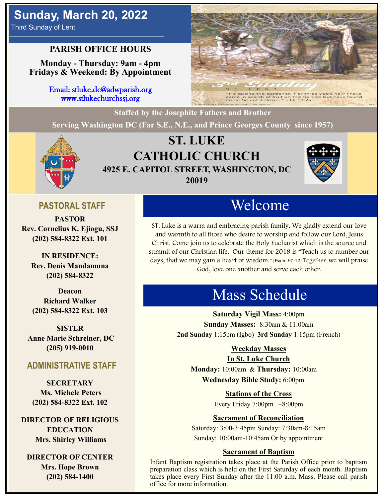# **Sunday, March 20, 2022**

Third Sunday of Lent

### **PARISH OFFICE HOURS**

**Monday - Thursday: 9am - 4pm Fridays & Weekend: By Appointment**

> Email: stluke.dc@adwparish.org www.stlukechurchssj.org



**Staffed by the Josephite Fathers and Brother**

**Serving Washington DC (Far S.E., N.E., and Prince Georges County since 1957)**



## **ST. LUKE CATHOLIC CHURCH 4925 E. CAPITOL STREET, WASHINGTON, DC 20019**



### **PASTORAL STAFF**

**PASTOR Rev. Cornelius K. Ejiogu, SSJ (202) 584-8322 Ext. 101**

**IN RESIDENCE: Rev. Denis Mandamuna (202) 584-8322** 

**Deacon Richard Walker (202) 584-8322 Ext. 103**

**SISTER Anne Marie Schreiner, DC (205) 919-0010**

### **ADMINISTRATIVE STAFF**

**SECRETARY Ms. Michele Peters (202) 584-8322 Ext. 102**

**DIRECTOR OF RELIGIOUS EDUCATION Mrs. Shirley Williams**

**DIRECTOR OF CENTER Mrs. Hope Brown (202) 584-1400**

## Welcome

ST. Luke is a warm and embracing parish family. We gladly extend our love and warmth to all those who desire to worship and follow our Lord, Jesus Christ. Come join us to celebrate the Holy Eucharist which is the source and summit of our Christian life. Our theme for 2019 is "Teach us to number our days, that we may gain a heart of wisdom." [Psalm 90:12] Together we will praise God, love one another and serve each other.

## Mass Schedule

**Saturday Vigil Mass:** 4:00pm **Sunday Masses:** 8:30am & 11:00am **2nd Sunday** 1:15pm (Igbo) **3rd Sunday** 1:15pm (French)

#### **Weekday Masses**

#### **In St. Luke Church**

**Monday:** 10:00am & **Thursday:** 10:00am **Wednesday Bible Study:** 6:00pm

**Stations of the Cross**

Every Friday 7:00pm . –8:00pm

#### **Sacrament of Reconciliation**

Saturday: 3:00-3:45pm Sunday: 7:30am-8:15am Sunday: 10:00am-10:45am Or by appointment

#### **Sacrament of Baptism**

Infant Baptism registration takes place at the Parish Office prior to baptism preparation class which is held on the First Saturday of each month. Baptism takes place every First Sunday after the 11:00 a.m. Mass. Please call parish office for more information.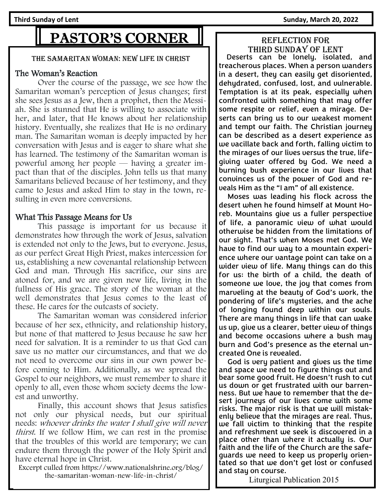## PASTOR'S CORNER

#### The Samaritan Woman: New Life in Christ

#### The Woman's Reaction

Over the course of the passage, we see how the Samaritan woman's perception of Jesus changes; first she sees Jesus as a Jew, then a prophet, then the Messiah. She is stunned that He is willing to associate with her, and later, that He knows about her relationship history. Eventually, she realizes that He is no ordinary man. The Samaritan woman is deeply impacted by her conversation with Jesus and is eager to share what she has learned. The testimony of the Samaritan woman is powerful among her people — having a greater impact than that of the disciples. John tells us that many Samaritans believed because of her testimony, and they came to Jesus and asked Him to stay in the town, resulting in even more conversions.

#### What This Passage Means for Us

This passage is important for us because it demonstrates how through the work of Jesus, salvation is extended not only to the Jews, but to everyone. Jesus, as our perfect Great High Priest, makes intercession for us, establishing a new covenantal relationship between God and man. Through His sacrifice, our sins are atoned for, and we are given new life, living in the fullness of His grace. The story of the woman at the well demonstrates that Jesus comes to the least of these. He cares for the outcasts of society.

The Samaritan woman was considered inferior because of her sex, ethnicity, and relationship history, but none of that mattered to Jesus because he saw her need for salvation. It is a reminder to us that God can save us no matter our circumstances, and that we do not need to overcome our sins in our own power before coming to Him. Additionally, as we spread the Gospel to our neighbors, we must remember to share it openly to all, even those whom society deems the lowest and unworthy.

Finally, this account shows that Jesus satisfies not only our physical needs, but our spiritual needs: whoever drinks the water I shall give will never thirst. If we follow Him, we can rest in the promise that the troubles of this world are temporary; we can endure them through the power of the Holy Spirit and have eternal hope in Christ.

Excerpt culled from https://www.nationalshrine.org/blog/ the-samaritan-woman-new-life-in-christ/

#### Reflection for third Sunday of lent

 Deserts can be lonely, isolated, and treacherous places. When a person wanders in a desert, they can easily get disoriented, dehydrated, confused, lost, and vulnerable. Temptation is at its peak, especially when confronted with something that may offer some respite or relief, even a mirage. Deserts can bring us to our weakest moment and tempt our faith. The Christian journey can be described as a desert experience as we vacillate back and forth, falling victim to the mirages of our lives versus the true, lifegiving water offered by God. We need a burning bush experience in our lives that convinces us of the power of God and reveals Him as the "I am" of all existence.

 Moses was leading his flock across the desert when he found himself at Mount Horeb. Mountains give us a fuller perspective of life, a panoramic view of what would otherwise be hidden from the limitations of our sight. That's when Moses met God. We have to find our way to a mountain experience where our vantage point can take on a wider view of life. Many things can do this for us: the birth of a child, the death of someone we love, the joy that comes from marveling at the beauty of God's work, the pondering of life's mysteries, and the ache of longing found deep within our souls. There are many things in life that can wake us up, give us a clearer, better view of things and become occasions where a bush may burn and God's presence as the eternal uncreated One is revealed.

 God is very patient and gives us the time and space we need to figure things out and bear some good fruit. He doesn't rush to cut us down or get frustrated with our barrenness. But we have to remember that the desert journeys of our lives come with some risks. The major risk is that we will mistakenly believe that the mirages are real. Thus, we fall victim to thinking that the respite and refreshment we seek is discovered in a place other than where it actually is. Our faith and the life of the Church are the safeguards we need to keep us properly orientated so that we don't get lost or confused and stay on course.

Liturgical Publication 2015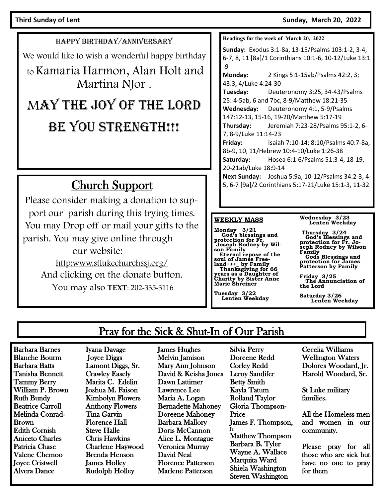HAPPY BIRTHDAY/ANNIVERSARY

We would like to wish a wonderful happy birthday

to Kamaria Harmon, Alan Holt and Martina NJor .

# MAY THE JOY OF THE LORD BE YOU STRENGTH!!!

## Church Support

Please consider making a donation to support our parish during this trying times. You may Drop off or mail your gifts to the parish. You may give online through our website: http:www.stlukechurchssj.org/ And clicking on the donate button. You may also **TEXT**: 202-335-3116

**Readings for the week of March 20, 2022**

**Sunday:** Exodus 3:1-8a, 13-15/Psalms 103:1-2, 3-4, 6-7, 8, 11 [8a]/1 Corinthians 10:1-6, 10-12/Luke 13:1 -9

**Monday:** 2 Kings 5:1-15ab/Psalms 42:2, 3; 43:3, 4/Luke 4:24-30

**Tuesday:** Deuteronomy 3:25, 34-43/Psalms 25: 4-5ab, 6 and 7bc, 8-9/Matthew 18:21-35 **Wednesday:** Deuteronomy 4:1, 5-9/Psalms 147:12-13, 15-16, 19-20/Matthew 5:17-19 **Thursday:** Jeremiah 7:23-28/Psalms 95:1-2, 6- 7, 8-9/Luke 11:14-23

**Friday:** Isaiah 7:10-14; 8:10/Psalms 40:7-8a, 8b-9, 10, 11/Hebrew 10:4-10/Luke 1:26-38 **Saturday:** Hosea 6:1-6/Psalms 51:3-4, 18-19, 20-21ab/Luke 18:9-14

**Next Sunday:** Joshua 5:9a, 10-12/Psalms 34:2-3, 4- 5, 6-7 [9a]/2 Corinthians 5:17-21/Luke 15:1-3, 11-32

#### **WEEKLY MASS**

**Monday 3/21 God's blessings and protection for Fr. Joseph Rodney by Wilson Family Eternal repose of the soul of James Free-land+++\_ by Family Thanksgiving for 66 years as a Daughter of Charity by Sister Anne Marie Shreiner**

**Tuesday 3/22 Lenten Weekday** **Wednesday 3/23 Lenten Weekday**

**Thursday 3/24 God's Blessings and protection for Fr. Joseph Rodney by Wilson Family Gods Blessings and protection for James Patterson by Family**

**Friday 3/25 The Annunciation of the Lord** 

**Saturday 3/26 Lenten Weekday** 

### Pray for the Sick & Shut-In of Our Parish

Barbara Barnes Blanche Bourm Barbara Batts Tanisha Bennett Tammy Berry William P. Brown Ruth Bundy Beatrice Carroll Melinda Conrad-Brown Edith Cornish Aniceto Charles Patricia Chase Valene Chemoo Joyce Cristwell Alvera Dance

Iyana Davage Joyce Diggs Lamont Diggs, Sr. Crawley Easely Marita C. Edelin Joshua M. Faison Kimbolyn Flowers Anthony Flowers Tina Garvin Florence Hall Steve Halle Chris Hawkins Charlene Haywood Brenda Henson James Holley Rudolph Holley

James Hughes Melvin Jamison Mary Ann Johnson David & Keisha Jones Dawn Lattimer Lawrence Lee Maria A. Logan Bernadette Mahoney Doreene Mahoney Barbara Mallory Doris McCannon Alice L. Montague Veronica Murray David Neal Florence Patterson Marlene Patterson

Silvia Perry Doreene Redd Corley Redd Leroy Sandifer Betty Smith Kayla Tatum Rolland Taylor Gloria Thompson-Price James F. Thompson, Jr. Matthew Thompson Barbara B. Tyler Wayne A. Wallace Marquita Ward Shiela Washington Steven Washington

Cecelia Williams Wellington Waters Dolores Woodard, Jr. Harold Woodard, Sr.

St Luke military families.

All the Homeless men and women in our community.

Please pray for all those who are sick but have no one to pray for them